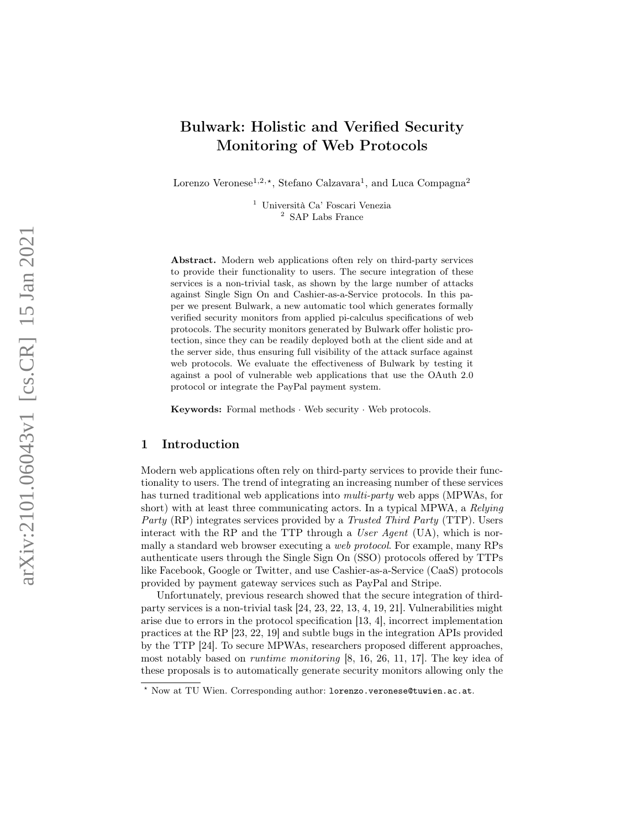# Bulwark: Holistic and Verified Security Monitoring of Web Protocols

Lorenzo Veronese<sup>1,2,\*</sup>, Stefano Calzavara<sup>1</sup>, and Luca Compagna<sup>2</sup>

<sup>1</sup> Università Ca' Foscari Venezia <sup>2</sup> SAP Labs France

Abstract. Modern web applications often rely on third-party services to provide their functionality to users. The secure integration of these services is a non-trivial task, as shown by the large number of attacks against Single Sign On and Cashier-as-a-Service protocols. In this paper we present Bulwark, a new automatic tool which generates formally verified security monitors from applied pi-calculus specifications of web protocols. The security monitors generated by Bulwark offer holistic protection, since they can be readily deployed both at the client side and at the server side, thus ensuring full visibility of the attack surface against web protocols. We evaluate the effectiveness of Bulwark by testing it against a pool of vulnerable web applications that use the OAuth 2.0 protocol or integrate the PayPal payment system.

Keywords: Formal methods · Web security · Web protocols.

# 1 Introduction

Modern web applications often rely on third-party services to provide their functionality to users. The trend of integrating an increasing number of these services has turned traditional web applications into multi-party web apps (MPWAs, for short) with at least three communicating actors. In a typical MPWA, a Relying Party (RP) integrates services provided by a Trusted Third Party (TTP). Users interact with the RP and the TTP through a User Agent  $(UA)$ , which is normally a standard web browser executing a web protocol. For example, many RPs authenticate users through the Single Sign On (SSO) protocols offered by TTPs like Facebook, Google or Twitter, and use Cashier-as-a-Service (CaaS) protocols provided by payment gateway services such as PayPal and Stripe.

Unfortunately, previous research showed that the secure integration of thirdparty services is a non-trivial task [\[24,](#page-17-0) [23,](#page-17-1) [22,](#page-17-2) [13,](#page-17-3) [4,](#page-17-4) [19,](#page-17-5) [21\]](#page-17-6). Vulnerabilities might arise due to errors in the protocol specification [\[13,](#page-17-3) [4\]](#page-17-4), incorrect implementation practices at the RP [\[23,](#page-17-1) [22,](#page-17-2) [19\]](#page-17-5) and subtle bugs in the integration APIs provided by the TTP [\[24\]](#page-17-0). To secure MPWAs, researchers proposed different approaches, most notably based on runtime monitoring [\[8,](#page-17-7) [16,](#page-17-8) [26,](#page-17-9) [11,](#page-17-10) [17\]](#page-17-11). The key idea of these proposals is to automatically generate security monitors allowing only the

 $\overline{\text{X}}$  Now at TU Wien. Corresponding author: lorenzo.veronese@tuwien.ac.at.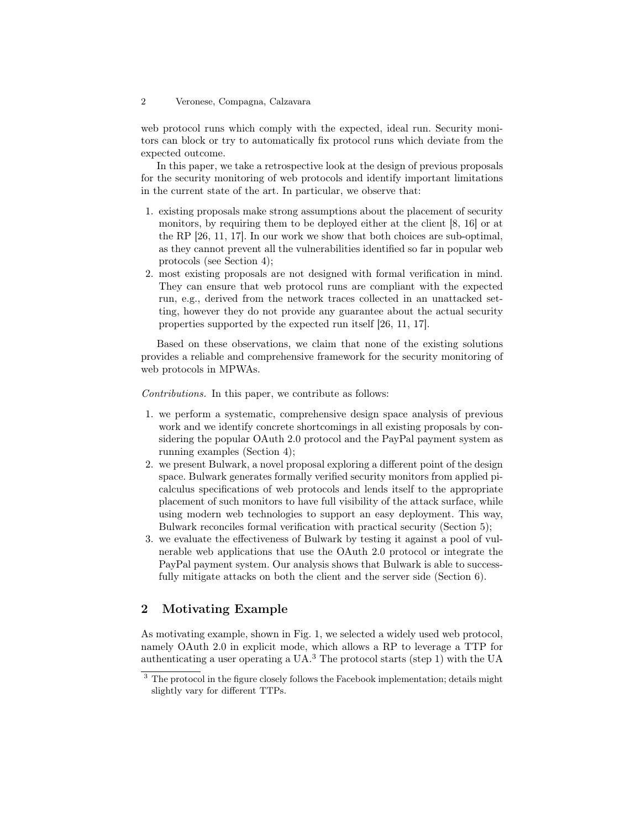web protocol runs which comply with the expected, ideal run. Security monitors can block or try to automatically fix protocol runs which deviate from the expected outcome.

In this paper, we take a retrospective look at the design of previous proposals for the security monitoring of web protocols and identify important limitations in the current state of the art. In particular, we observe that:

- 1. existing proposals make strong assumptions about the placement of security monitors, by requiring them to be deployed either at the client [\[8,](#page-17-7) [16\]](#page-17-8) or at the RP [\[26,](#page-17-9) [11,](#page-17-10) [17\]](#page-17-11). In our work we show that both choices are sub-optimal, as they cannot prevent all the vulnerabilities identified so far in popular web protocols (see Section [4\)](#page-4-0);
- 2. most existing proposals are not designed with formal verification in mind. They can ensure that web protocol runs are compliant with the expected run, e.g., derived from the network traces collected in an unattacked setting, however they do not provide any guarantee about the actual security properties supported by the expected run itself [\[26,](#page-17-9) [11,](#page-17-10) [17\]](#page-17-11).

Based on these observations, we claim that none of the existing solutions provides a reliable and comprehensive framework for the security monitoring of web protocols in MPWAs.

Contributions. In this paper, we contribute as follows:

- 1. we perform a systematic, comprehensive design space analysis of previous work and we identify concrete shortcomings in all existing proposals by considering the popular OAuth 2.0 protocol and the PayPal payment system as running examples (Section [4\)](#page-4-0);
- 2. we present Bulwark, a novel proposal exploring a different point of the design space. Bulwark generates formally verified security monitors from applied picalculus specifications of web protocols and lends itself to the appropriate placement of such monitors to have full visibility of the attack surface, while using modern web technologies to support an easy deployment. This way, Bulwark reconciles formal verification with practical security (Section [5\)](#page-10-0);
- 3. we evaluate the effectiveness of Bulwark by testing it against a pool of vulnerable web applications that use the OAuth 2.0 protocol or integrate the PayPal payment system. Our analysis shows that Bulwark is able to success-fully mitigate attacks on both the client and the server side (Section [6\)](#page-13-0).

# <span id="page-1-1"></span>2 Motivating Example

As motivating example, shown in Fig. [1,](#page-2-0) we selected a widely used web protocol, namely OAuth 2.0 in explicit mode, which allows a RP to leverage a TTP for authenticating a user operating a  $UA^3$  $UA^3$ . The protocol starts (step 1) with the UA

<span id="page-1-0"></span><sup>&</sup>lt;sup>3</sup> The protocol in the figure closely follows the Facebook implementation; details might slightly vary for different TTPs.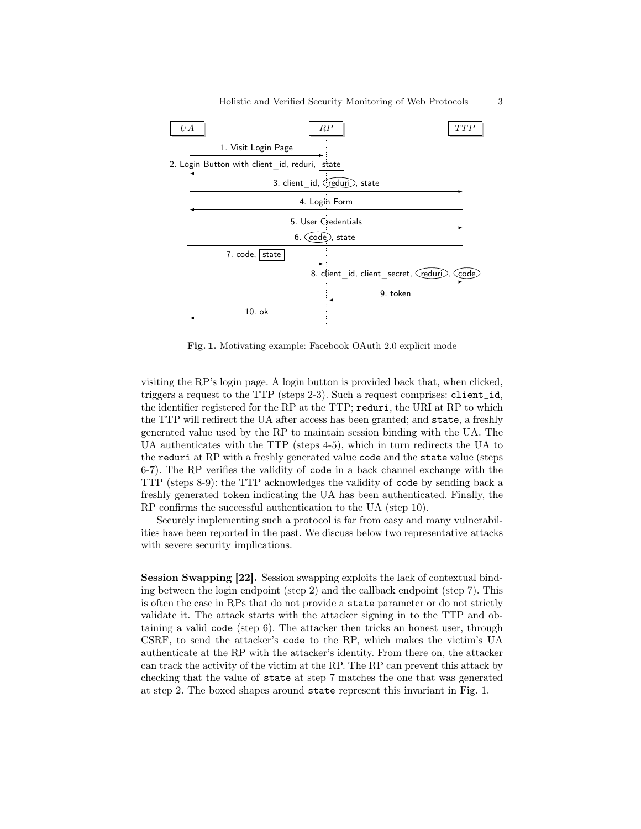

<span id="page-2-0"></span>Fig. 1. Motivating example: Facebook OAuth 2.0 explicit mode

visiting the RP's login page. A login button is provided back that, when clicked, triggers a request to the TTP (steps 2-3). Such a request comprises: client\_id, the identifier registered for the RP at the TTP; reduri, the URI at RP to which the TTP will redirect the UA after access has been granted; and state, a freshly generated value used by the RP to maintain session binding with the UA. The UA authenticates with the TTP (steps 4-5), which in turn redirects the UA to the reduri at RP with a freshly generated value code and the state value (steps 6-7). The RP verifies the validity of code in a back channel exchange with the TTP (steps 8-9): the TTP acknowledges the validity of code by sending back a freshly generated token indicating the UA has been authenticated. Finally, the RP confirms the successful authentication to the UA (step 10).

Securely implementing such a protocol is far from easy and many vulnerabilities have been reported in the past. We discuss below two representative attacks with severe security implications.

Session Swapping [\[22\]](#page-17-2). Session swapping exploits the lack of contextual binding between the login endpoint (step 2) and the callback endpoint (step 7). This is often the case in RPs that do not provide a state parameter or do not strictly validate it. The attack starts with the attacker signing in to the TTP and obtaining a valid code (step 6). The attacker then tricks an honest user, through CSRF, to send the attacker's code to the RP, which makes the victim's UA authenticate at the RP with the attacker's identity. From there on, the attacker can track the activity of the victim at the RP. The RP can prevent this attack by checking that the value of state at step 7 matches the one that was generated at step 2. The boxed shapes around state represent this invariant in Fig. [1.](#page-2-0)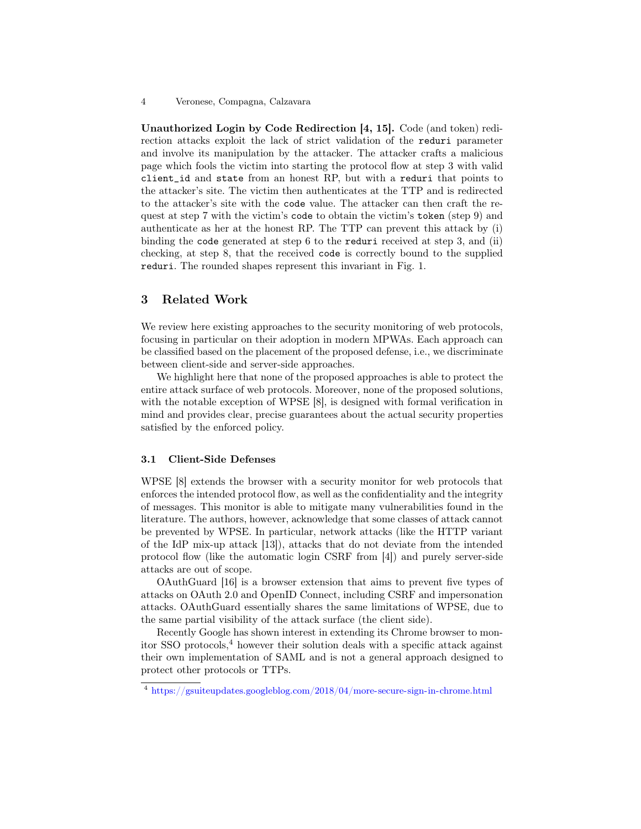<span id="page-3-1"></span>Unauthorized Login by Code Redirection [\[4,](#page-17-4) [15\]](#page-17-12). Code (and token) redirection attacks exploit the lack of strict validation of the reduri parameter and involve its manipulation by the attacker. The attacker crafts a malicious page which fools the victim into starting the protocol flow at step 3 with valid client\_id and state from an honest RP, but with a reduri that points to the attacker's site. The victim then authenticates at the TTP and is redirected to the attacker's site with the code value. The attacker can then craft the request at step 7 with the victim's code to obtain the victim's token (step 9) and authenticate as her at the honest RP. The TTP can prevent this attack by (i) binding the code generated at step 6 to the reduri received at step 3, and (ii) checking, at step 8, that the received code is correctly bound to the supplied reduri. The rounded shapes represent this invariant in Fig. [1.](#page-2-0)

# 3 Related Work

We review here existing approaches to the security monitoring of web protocols, focusing in particular on their adoption in modern MPWAs. Each approach can be classified based on the placement of the proposed defense, i.e., we discriminate between client-side and server-side approaches.

We highlight here that none of the proposed approaches is able to protect the entire attack surface of web protocols. Moreover, none of the proposed solutions, with the notable exception of WPSE [\[8\]](#page-17-7), is designed with formal verification in mind and provides clear, precise guarantees about the actual security properties satisfied by the enforced policy.

# 3.1 Client-Side Defenses

WPSE [\[8\]](#page-17-7) extends the browser with a security monitor for web protocols that enforces the intended protocol flow, as well as the confidentiality and the integrity of messages. This monitor is able to mitigate many vulnerabilities found in the literature. The authors, however, acknowledge that some classes of attack cannot be prevented by WPSE. In particular, network attacks (like the HTTP variant of the IdP mix-up attack [\[13\]](#page-17-3)), attacks that do not deviate from the intended protocol flow (like the automatic login CSRF from [\[4\]](#page-17-4)) and purely server-side attacks are out of scope.

OAuthGuard [\[16\]](#page-17-8) is a browser extension that aims to prevent five types of attacks on OAuth 2.0 and OpenID Connect, including CSRF and impersonation attacks. OAuthGuard essentially shares the same limitations of WPSE, due to the same partial visibility of the attack surface (the client side).

Recently Google has shown interest in extending its Chrome browser to monitor SSO protocols, $4$  however their solution deals with a specific attack against their own implementation of SAML and is not a general approach designed to protect other protocols or TTPs.

<span id="page-3-0"></span><sup>4</sup> <https://gsuiteupdates.googleblog.com/2018/04/more-secure-sign-in-chrome.html>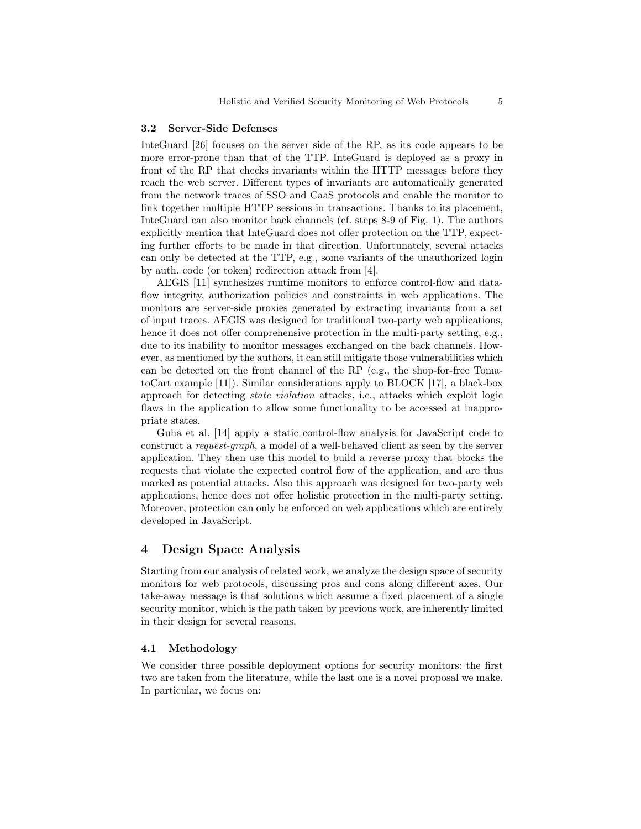#### 3.2 Server-Side Defenses

InteGuard [\[26\]](#page-17-9) focuses on the server side of the RP, as its code appears to be more error-prone than that of the TTP. InteGuard is deployed as a proxy in front of the RP that checks invariants within the HTTP messages before they reach the web server. Different types of invariants are automatically generated from the network traces of SSO and CaaS protocols and enable the monitor to link together multiple HTTP sessions in transactions. Thanks to its placement, InteGuard can also monitor back channels (cf. steps 8-9 of Fig. [1\)](#page-2-0). The authors explicitly mention that InteGuard does not offer protection on the TTP, expecting further efforts to be made in that direction. Unfortunately, several attacks can only be detected at the TTP, e.g., some variants of the unauthorized login by auth. code (or token) redirection attack from [\[4\]](#page-17-4).

AEGIS [\[11\]](#page-17-10) synthesizes runtime monitors to enforce control-flow and dataflow integrity, authorization policies and constraints in web applications. The monitors are server-side proxies generated by extracting invariants from a set of input traces. AEGIS was designed for traditional two-party web applications, hence it does not offer comprehensive protection in the multi-party setting, e.g., due to its inability to monitor messages exchanged on the back channels. However, as mentioned by the authors, it can still mitigate those vulnerabilities which can be detected on the front channel of the RP (e.g., the shop-for-free TomatoCart example [\[11\]](#page-17-10)). Similar considerations apply to BLOCK [\[17\]](#page-17-11), a black-box approach for detecting state violation attacks, i.e., attacks which exploit logic flaws in the application to allow some functionality to be accessed at inappropriate states.

Guha et al. [\[14\]](#page-17-13) apply a static control-flow analysis for JavaScript code to construct a request-graph, a model of a well-behaved client as seen by the server application. They then use this model to build a reverse proxy that blocks the requests that violate the expected control flow of the application, and are thus marked as potential attacks. Also this approach was designed for two-party web applications, hence does not offer holistic protection in the multi-party setting. Moreover, protection can only be enforced on web applications which are entirely developed in JavaScript.

# <span id="page-4-0"></span>4 Design Space Analysis

Starting from our analysis of related work, we analyze the design space of security monitors for web protocols, discussing pros and cons along different axes. Our take-away message is that solutions which assume a fixed placement of a single security monitor, which is the path taken by previous work, are inherently limited in their design for several reasons.

#### 4.1 Methodology

We consider three possible deployment options for security monitors: the first two are taken from the literature, while the last one is a novel proposal we make. In particular, we focus on: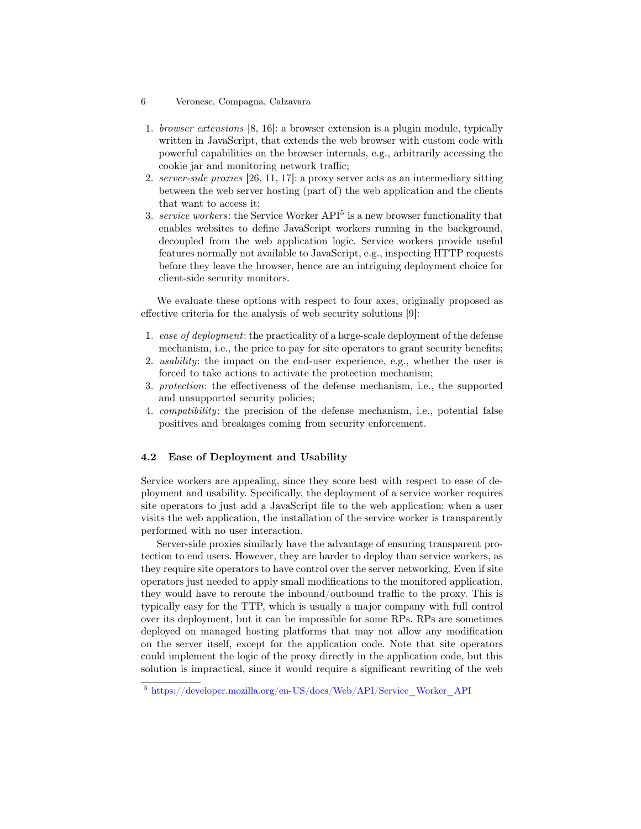- 6 Veronese, Compagna, Calzavara
- 1. browser extensions [\[8,](#page-17-7) [16\]](#page-17-8): a browser extension is a plugin module, typically written in JavaScript, that extends the web browser with custom code with powerful capabilities on the browser internals, e.g., arbitrarily accessing the cookie jar and monitoring network traffic;
- 2. server-side proxies [\[26,](#page-17-9) [11,](#page-17-10) [17\]](#page-17-11): a proxy server acts as an intermediary sitting between the web server hosting (part of) the web application and the clients that want to access it;
- 3. service workers: the Service Worker  $API<sup>5</sup>$  $API<sup>5</sup>$  $API<sup>5</sup>$  is a new browser functionality that enables websites to define JavaScript workers running in the background, decoupled from the web application logic. Service workers provide useful features normally not available to JavaScript, e.g., inspecting HTTP requests before they leave the browser, hence are an intriguing deployment choice for client-side security monitors.

We evaluate these options with respect to four axes, originally proposed as effective criteria for the analysis of web security solutions [\[9\]](#page-17-14):

- 1. ease of deployment: the practicality of a large-scale deployment of the defense mechanism, i.e., the price to pay for site operators to grant security benefits;
- 2. usability: the impact on the end-user experience, e.g., whether the user is forced to take actions to activate the protection mechanism;
- 3. protection: the effectiveness of the defense mechanism, i.e., the supported and unsupported security policies;
- 4. compatibility: the precision of the defense mechanism, i.e., potential false positives and breakages coming from security enforcement.

# 4.2 Ease of Deployment and Usability

Service workers are appealing, since they score best with respect to ease of deployment and usability. Specifically, the deployment of a service worker requires site operators to just add a JavaScript file to the web application: when a user visits the web application, the installation of the service worker is transparently performed with no user interaction.

Server-side proxies similarly have the advantage of ensuring transparent protection to end users. However, they are harder to deploy than service workers, as they require site operators to have control over the server networking. Even if site operators just needed to apply small modifications to the monitored application, they would have to reroute the inbound/outbound traffic to the proxy. This is typically easy for the TTP, which is usually a major company with full control over its deployment, but it can be impossible for some RPs. RPs are sometimes deployed on managed hosting platforms that may not allow any modification on the server itself, except for the application code. Note that site operators could implement the logic of the proxy directly in the application code, but this solution is impractical, since it would require a significant rewriting of the web

<span id="page-5-0"></span><sup>5</sup> [https://developer.mozilla.org/en-US/docs/Web/API/Service\\_Worker\\_API](https://developer.mozilla.org/en-US/docs/Web/API/Service_Worker_API)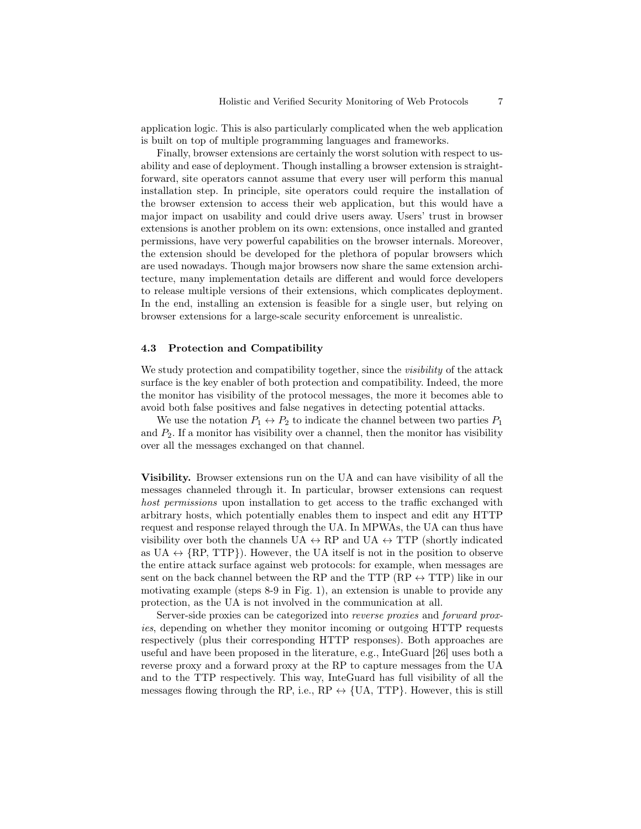application logic. This is also particularly complicated when the web application is built on top of multiple programming languages and frameworks.

Finally, browser extensions are certainly the worst solution with respect to usability and ease of deployment. Though installing a browser extension is straightforward, site operators cannot assume that every user will perform this manual installation step. In principle, site operators could require the installation of the browser extension to access their web application, but this would have a major impact on usability and could drive users away. Users' trust in browser extensions is another problem on its own: extensions, once installed and granted permissions, have very powerful capabilities on the browser internals. Moreover, the extension should be developed for the plethora of popular browsers which are used nowadays. Though major browsers now share the same extension architecture, many implementation details are different and would force developers to release multiple versions of their extensions, which complicates deployment. In the end, installing an extension is feasible for a single user, but relying on browser extensions for a large-scale security enforcement is unrealistic.

# 4.3 Protection and Compatibility

We study protection and compatibility together, since the *visibility* of the attack surface is the key enabler of both protection and compatibility. Indeed, the more the monitor has visibility of the protocol messages, the more it becomes able to avoid both false positives and false negatives in detecting potential attacks.

We use the notation  $P_1 \leftrightarrow P_2$  to indicate the channel between two parties  $P_1$ and  $P_2$ . If a monitor has visibility over a channel, then the monitor has visibility over all the messages exchanged on that channel.

Visibility. Browser extensions run on the UA and can have visibility of all the messages channeled through it. In particular, browser extensions can request host permissions upon installation to get access to the traffic exchanged with arbitrary hosts, which potentially enables them to inspect and edit any HTTP request and response relayed through the UA. In MPWAs, the UA can thus have visibility over both the channels UA  $\leftrightarrow$  RP and UA  $\leftrightarrow$  TTP (shortly indicated as UA  $\leftrightarrow$  {RP, TTP}). However, the UA itself is not in the position to observe the entire attack surface against web protocols: for example, when messages are sent on the back channel between the RP and the TTP (RP  $\leftrightarrow$  TTP) like in our motivating example (steps 8-9 in Fig. [1\)](#page-2-0), an extension is unable to provide any protection, as the UA is not involved in the communication at all.

Server-side proxies can be categorized into reverse proxies and forward proxies, depending on whether they monitor incoming or outgoing HTTP requests respectively (plus their corresponding HTTP responses). Both approaches are useful and have been proposed in the literature, e.g., InteGuard [\[26\]](#page-17-9) uses both a reverse proxy and a forward proxy at the RP to capture messages from the UA and to the TTP respectively. This way, InteGuard has full visibility of all the messages flowing through the RP, i.e.,  $RP \leftrightarrow \{UA, TTP\}$ . However, this is still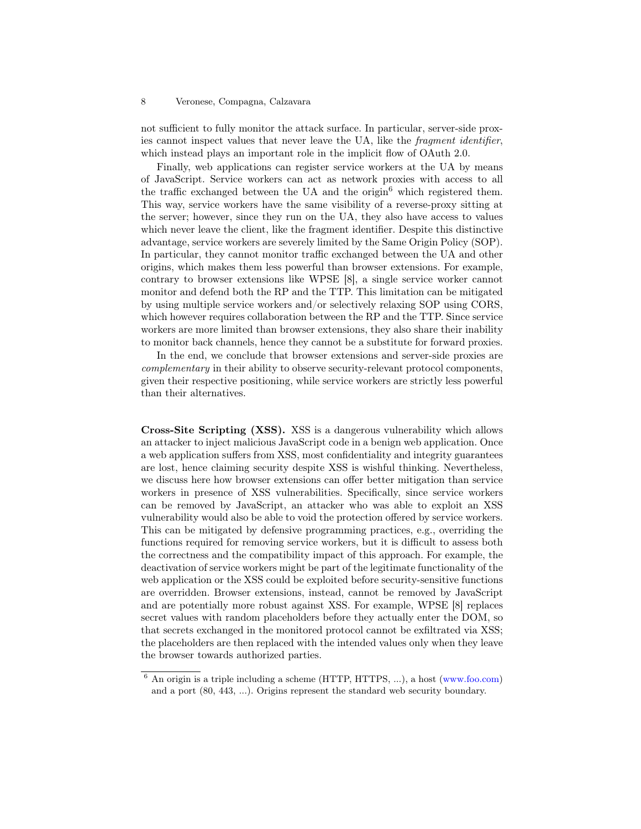not sufficient to fully monitor the attack surface. In particular, server-side proxies cannot inspect values that never leave the UA, like the fragment identifier, which instead plays an important role in the implicit flow of OAuth 2.0.

Finally, web applications can register service workers at the UA by means of JavaScript. Service workers can act as network proxies with access to all the traffic exchanged between the UA and the origin<sup>[6](#page-7-0)</sup> which registered them. This way, service workers have the same visibility of a reverse-proxy sitting at the server; however, since they run on the UA, they also have access to values which never leave the client, like the fragment identifier. Despite this distinctive advantage, service workers are severely limited by the Same Origin Policy (SOP). In particular, they cannot monitor traffic exchanged between the UA and other origins, which makes them less powerful than browser extensions. For example, contrary to browser extensions like WPSE [\[8\]](#page-17-7), a single service worker cannot monitor and defend both the RP and the TTP. This limitation can be mitigated by using multiple service workers and/or selectively relaxing SOP using CORS, which however requires collaboration between the RP and the TTP. Since service workers are more limited than browser extensions, they also share their inability to monitor back channels, hence they cannot be a substitute for forward proxies.

In the end, we conclude that browser extensions and server-side proxies are complementary in their ability to observe security-relevant protocol components, given their respective positioning, while service workers are strictly less powerful than their alternatives.

Cross-Site Scripting (XSS). XSS is a dangerous vulnerability which allows an attacker to inject malicious JavaScript code in a benign web application. Once a web application suffers from XSS, most confidentiality and integrity guarantees are lost, hence claiming security despite XSS is wishful thinking. Nevertheless, we discuss here how browser extensions can offer better mitigation than service workers in presence of XSS vulnerabilities. Specifically, since service workers can be removed by JavaScript, an attacker who was able to exploit an XSS vulnerability would also be able to void the protection offered by service workers. This can be mitigated by defensive programming practices, e.g., overriding the functions required for removing service workers, but it is difficult to assess both the correctness and the compatibility impact of this approach. For example, the deactivation of service workers might be part of the legitimate functionality of the web application or the XSS could be exploited before security-sensitive functions are overridden. Browser extensions, instead, cannot be removed by JavaScript and are potentially more robust against XSS. For example, WPSE [\[8\]](#page-17-7) replaces secret values with random placeholders before they actually enter the DOM, so that secrets exchanged in the monitored protocol cannot be exfiltrated via XSS; the placeholders are then replaced with the intended values only when they leave the browser towards authorized parties.

<span id="page-7-0"></span> $6$  An origin is a triple including a scheme (HTTP, HTTPS, ...), a host [\(www.foo.com\)](www.foo.com) and a port (80, 443, ...). Origins represent the standard web security boundary.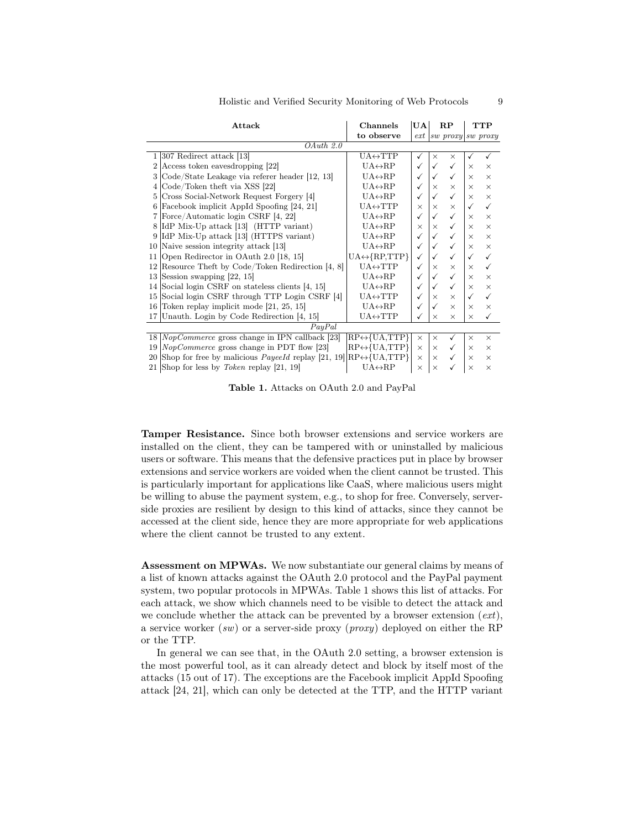|        | Attack                                                                                        | Channels                         | <b>UA</b> | $\mathbf{RP}$ |                         | <b>TTP</b> |              |
|--------|-----------------------------------------------------------------------------------------------|----------------------------------|-----------|---------------|-------------------------|------------|--------------|
|        |                                                                                               | to observe                       |           |               | $ext$ sw proxy sw proxy |            |              |
|        | OAuth 2.0                                                                                     |                                  |           |               |                         |            |              |
|        | 1 307 Redirect attack [13]                                                                    | $UA \leftrightarrow TTP$         |           | $\times$      | $\times$                | √          | $\checkmark$ |
|        | 2 Access token eavesdropping [22]                                                             | $UA \leftrightarrow RP$          |           |               |                         | $\times$   | $\times$     |
|        | 3 Code/State Leakage via referer header [12, 13]                                              | $UA \leftrightarrow RP$          |           |               | ✓                       | $\times$   | $\times$     |
| 4      | Code/Token theft via XSS [22]                                                                 | $UA \leftrightarrow RP$          |           | $\times$      | $\times$                | $\times$   | $\times$     |
|        | 5 Cross Social-Network Request Forgery [4]                                                    | $UA \leftrightarrow RP$          |           |               | ✓                       | $\times$   | $\times$     |
| 6      | Facebook implicit AppId Spoofing [24, 21]                                                     | $UA \leftrightarrow TTP$         | $\times$  | $\times$      | $\times$                | ✓          | ✓            |
| 7      | Force/Automatic login CSRF [4, 22]                                                            | $UA \leftrightarrow RP$          |           |               |                         | $\times$   | $\times$     |
| 8      | IdP Mix-Up attack [13] (HTTP variant)                                                         | $UA \leftrightarrow RP$          | $\times$  | $\times$      |                         | $\times$   | $\times$     |
| 9      | IdP Mix-Up attack [13] (HTTPS variant)                                                        | $UA \leftrightarrow RP$          |           |               |                         | $\times$   | $\times$     |
|        | 10 Naive session integrity attack [13]                                                        | $UA \leftrightarrow RP$          |           |               |                         | $\times$   | $\times$     |
|        | 11 Open Redirector in OAuth 2.0 [18, 15]                                                      | $UA \leftrightarrow \{RP, TTP\}$ |           |               | ✓                       | ✓          | $\checkmark$ |
|        | 12 Resource Theft by Code/Token Redirection [4, 8]                                            | $UA \leftrightarrow TTP$         | ✓         | $\times$      | $\times$                | $\times$   | ✓            |
|        | 13 Session swapping $ 22, 15 $                                                                | $UA \leftrightarrow RP$          |           |               | ✓                       | $\times$   | $\times$     |
|        | 14 Social login CSRF on stateless clients [4, 15]                                             | $UA \leftrightarrow RP$          |           |               | ✓                       | $\times$   | $\times$     |
|        | 15 Social login CSRF through TTP Login CSRF [4]                                               | $UA \leftrightarrow TTP$         |           | $\times$      | $\times$                | √          | ✓            |
|        | 16 Token replay implicit mode [21, 25, 15]<br>$UA \leftrightarrow RP$                         |                                  |           |               | $\times$                | $\times$   | $\times$     |
|        | 17 Unauth. Login by Code Redirection [4, 15]<br>$UA \leftrightarrow TTP$                      |                                  |           |               | $\times$                | $\times$   | √            |
| PayPal |                                                                                               |                                  |           |               |                         |            |              |
|        | $18 NopCommerce$ gross change in IPN callback [23]                                            | $RP \leftrightarrow \{UA, TTP\}$ | $\times$  | $\times$      | ✓                       | $\times$   | $\times$     |
|        | 19 <i>NopCommerce</i> gross change in PDT flow [23]                                           | $RP \leftrightarrow \{UA, TTP\}$ | $\times$  | $\times$      | √                       | $\times$   | $\times$     |
|        | 20 Shop for free by malicious <i>PayeeId</i> replay [21, 19] $RP \leftrightarrow \{UA, TTP\}$ |                                  | $\times$  | $\times$      |                         | $\times$   | $\times$     |
|        | 21 Shop for less by <i>Token</i> replay [21, 19]                                              | $UA \leftrightarrow RP$          | $\times$  | $\times$      |                         | $\times$   | $\times$     |

Table 1. Attacks on OAuth 2.0 and PayPal

<span id="page-8-0"></span>Tamper Resistance. Since both browser extensions and service workers are installed on the client, they can be tampered with or uninstalled by malicious users or software. This means that the defensive practices put in place by browser extensions and service workers are voided when the client cannot be trusted. This is particularly important for applications like CaaS, where malicious users might be willing to abuse the payment system, e.g., to shop for free. Conversely, serverside proxies are resilient by design to this kind of attacks, since they cannot be accessed at the client side, hence they are more appropriate for web applications where the client cannot be trusted to any extent.

<span id="page-8-1"></span>Assessment on MPWAs. We now substantiate our general claims by means of a list of known attacks against the OAuth 2.0 protocol and the PayPal payment system, two popular protocols in MPWAs. Table [1](#page-8-0) shows this list of attacks. For each attack, we show which channels need to be visible to detect the attack and we conclude whether the attack can be prevented by a browser extension  $(\text{ext})$ , a service worker  $(sw)$  or a server-side proxy  $(proxy)$  deployed on either the RP or the TTP.

In general we can see that, in the OAuth 2.0 setting, a browser extension is the most powerful tool, as it can already detect and block by itself most of the attacks (15 out of 17). The exceptions are the Facebook implicit AppId Spoofing attack [\[24,](#page-17-0) [21\]](#page-17-6), which can only be detected at the TTP, and the HTTP variant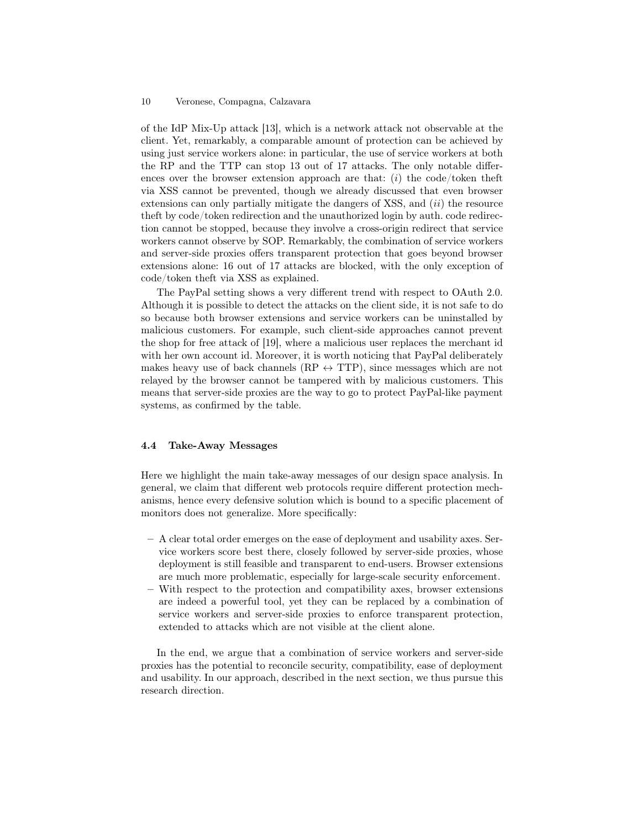of the IdP Mix-Up attack [\[13\]](#page-17-3), which is a network attack not observable at the client. Yet, remarkably, a comparable amount of protection can be achieved by using just service workers alone: in particular, the use of service workers at both the RP and the TTP can stop 13 out of 17 attacks. The only notable differences over the browser extension approach are that:  $(i)$  the code/token theft via XSS cannot be prevented, though we already discussed that even browser extensions can only partially mitigate the dangers of XSS, and  $(ii)$  the resource theft by code/token redirection and the unauthorized login by auth. code redirection cannot be stopped, because they involve a cross-origin redirect that service workers cannot observe by SOP. Remarkably, the combination of service workers and server-side proxies offers transparent protection that goes beyond browser extensions alone: 16 out of 17 attacks are blocked, with the only exception of code/token theft via XSS as explained.

The PayPal setting shows a very different trend with respect to OAuth 2.0. Although it is possible to detect the attacks on the client side, it is not safe to do so because both browser extensions and service workers can be uninstalled by malicious customers. For example, such client-side approaches cannot prevent the shop for free attack of [\[19\]](#page-17-5), where a malicious user replaces the merchant id with her own account id. Moreover, it is worth noticing that PayPal deliberately makes heavy use of back channels ( $RP \leftrightarrow TTP$ ), since messages which are not relayed by the browser cannot be tampered with by malicious customers. This means that server-side proxies are the way to go to protect PayPal-like payment systems, as confirmed by the table.

# 4.4 Take-Away Messages

Here we highlight the main take-away messages of our design space analysis. In general, we claim that different web protocols require different protection mechanisms, hence every defensive solution which is bound to a specific placement of monitors does not generalize. More specifically:

- A clear total order emerges on the ease of deployment and usability axes. Service workers score best there, closely followed by server-side proxies, whose deployment is still feasible and transparent to end-users. Browser extensions are much more problematic, especially for large-scale security enforcement.
- With respect to the protection and compatibility axes, browser extensions are indeed a powerful tool, yet they can be replaced by a combination of service workers and server-side proxies to enforce transparent protection, extended to attacks which are not visible at the client alone.

In the end, we argue that a combination of service workers and server-side proxies has the potential to reconcile security, compatibility, ease of deployment and usability. In our approach, described in the next section, we thus pursue this research direction.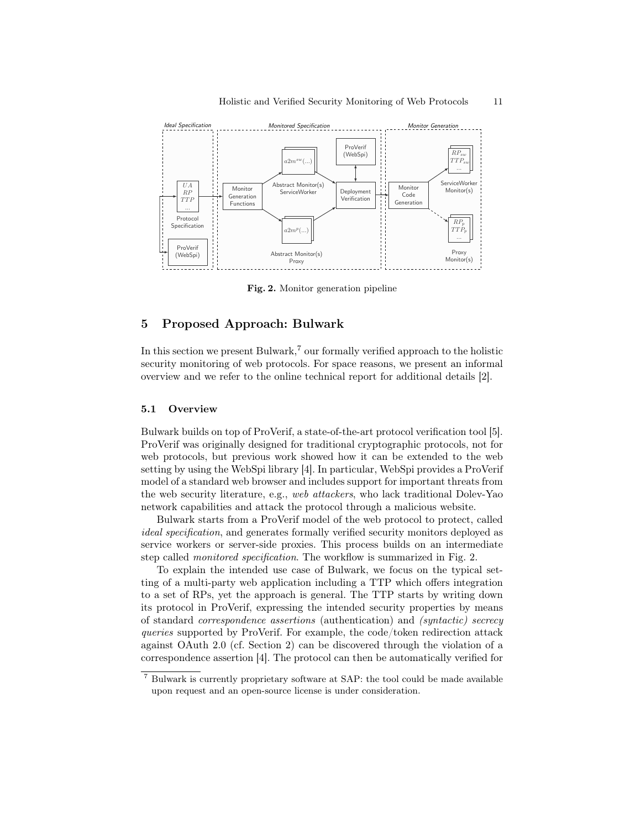

<span id="page-10-2"></span>Fig. 2. Monitor generation pipeline

# <span id="page-10-0"></span>5 Proposed Approach: Bulwark

In this section we present Bulwark,<sup>[7](#page-10-1)</sup> our formally verified approach to the holistic security monitoring of web protocols. For space reasons, we present an informal overview and we refer to the online technical report for additional details [\[2\]](#page-17-18).

# 5.1 Overview

Bulwark builds on top of ProVerif, a state-of-the-art protocol verification tool [\[5\]](#page-17-19). ProVerif was originally designed for traditional cryptographic protocols, not for web protocols, but previous work showed how it can be extended to the web setting by using the WebSpi library [\[4\]](#page-17-4). In particular, WebSpi provides a ProVerif model of a standard web browser and includes support for important threats from the web security literature, e.g., web attackers, who lack traditional Dolev-Yao network capabilities and attack the protocol through a malicious website.

Bulwark starts from a ProVerif model of the web protocol to protect, called ideal specification, and generates formally verified security monitors deployed as service workers or server-side proxies. This process builds on an intermediate step called monitored specification. The workflow is summarized in Fig. [2.](#page-10-2)

To explain the intended use case of Bulwark, we focus on the typical setting of a multi-party web application including a TTP which offers integration to a set of RPs, yet the approach is general. The TTP starts by writing down its protocol in ProVerif, expressing the intended security properties by means of standard correspondence assertions (authentication) and (syntactic) secrecy queries supported by ProVerif. For example, the code/token redirection attack against OAuth 2.0 (cf. Section [2\)](#page-3-1) can be discovered through the violation of a correspondence assertion [\[4\]](#page-17-4). The protocol can then be automatically verified for

<span id="page-10-1"></span><sup>7</sup> Bulwark is currently proprietary software at SAP: the tool could be made available upon request and an open-source license is under consideration.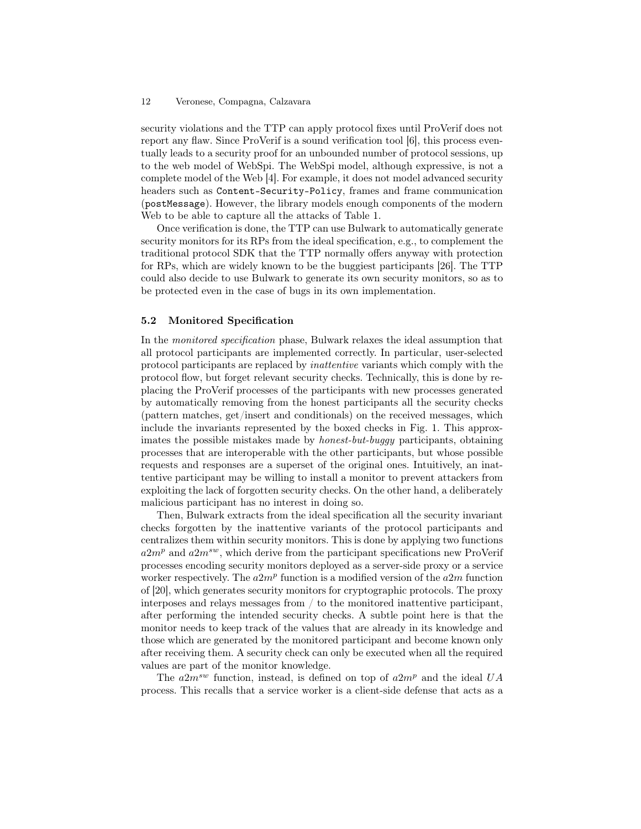security violations and the TTP can apply protocol fixes until ProVerif does not report any flaw. Since ProVerif is a sound verification tool [\[6\]](#page-17-20), this process eventually leads to a security proof for an unbounded number of protocol sessions, up to the web model of WebSpi. The WebSpi model, although expressive, is not a complete model of the Web [\[4\]](#page-17-4). For example, it does not model advanced security headers such as Content-Security-Policy, frames and frame communication (postMessage). However, the library models enough components of the modern Web to be able to capture all the attacks of Table [1.](#page-8-0)

Once verification is done, the TTP can use Bulwark to automatically generate security monitors for its RPs from the ideal specification, e.g., to complement the traditional protocol SDK that the TTP normally offers anyway with protection for RPs, which are widely known to be the buggiest participants [\[26\]](#page-17-9). The TTP could also decide to use Bulwark to generate its own security monitors, so as to be protected even in the case of bugs in its own implementation.

# <span id="page-11-0"></span>5.2 Monitored Specification

In the monitored specification phase, Bulwark relaxes the ideal assumption that all protocol participants are implemented correctly. In particular, user-selected protocol participants are replaced by inattentive variants which comply with the protocol flow, but forget relevant security checks. Technically, this is done by replacing the ProVerif processes of the participants with new processes generated by automatically removing from the honest participants all the security checks (pattern matches, get/insert and conditionals) on the received messages, which include the invariants represented by the boxed checks in Fig. [1.](#page-2-0) This approximates the possible mistakes made by honest-but-buggy participants, obtaining processes that are interoperable with the other participants, but whose possible requests and responses are a superset of the original ones. Intuitively, an inattentive participant may be willing to install a monitor to prevent attackers from exploiting the lack of forgotten security checks. On the other hand, a deliberately malicious participant has no interest in doing so.

Then, Bulwark extracts from the ideal specification all the security invariant checks forgotten by the inattentive variants of the protocol participants and centralizes them within security monitors. This is done by applying two functions  $a2m^p$  and  $a2m^{sw}$ , which derive from the participant specifications new ProVerif processes encoding security monitors deployed as a server-side proxy or a service worker respectively. The  $a2m^p$  function is a modified version of the  $a2m$  function of [\[20\]](#page-17-21), which generates security monitors for cryptographic protocols. The proxy interposes and relays messages from / to the monitored inattentive participant, after performing the intended security checks. A subtle point here is that the monitor needs to keep track of the values that are already in its knowledge and those which are generated by the monitored participant and become known only after receiving them. A security check can only be executed when all the required values are part of the monitor knowledge.

The  $a2m^{sw}$  function, instead, is defined on top of  $a2m^p$  and the ideal UA process. This recalls that a service worker is a client-side defense that acts as a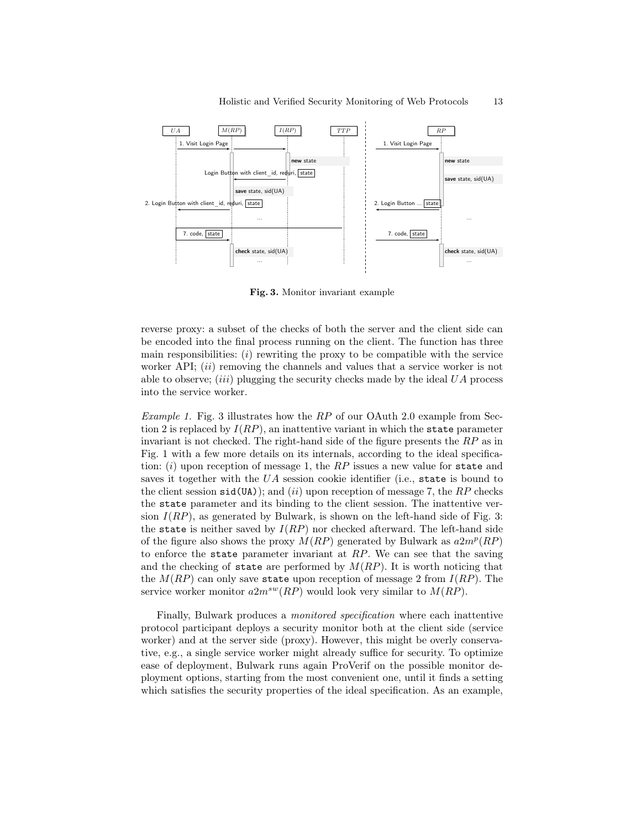

Fig. 3. Monitor invariant example

<span id="page-12-0"></span>reverse proxy: a subset of the checks of both the server and the client side can be encoded into the final process running on the client. The function has three main responsibilities:  $(i)$  rewriting the proxy to be compatible with the service worker API;  $(ii)$  removing the channels and values that a service worker is not able to observe;  $(iii)$  plugging the security checks made by the ideal  $UA$  process into the service worker.

<span id="page-12-1"></span>*Example 1.* Fig. [3](#page-12-0) illustrates how the  $RP$  of our OAuth 2.0 example from Sec-tion [2](#page-1-1) is replaced by  $I(RP)$ , an inattentive variant in which the state parameter invariant is not checked. The right-hand side of the figure presents the  $RP$  as in Fig. [1](#page-2-0) with a few more details on its internals, according to the ideal specification:  $(i)$  upon reception of message 1, the RP issues a new value for state and saves it together with the UA session cookie identifier (i.e., state is bound to the client session  $\text{sid}(UA)$ ; and  $(ii)$  upon reception of message 7, the RP checks the state parameter and its binding to the client session. The inattentive version  $I(RP)$ , as generated by Bulwark, is shown on the left-hand side of Fig. [3:](#page-12-0) the state is neither saved by  $I(RP)$  nor checked afterward. The left-hand side of the figure also shows the proxy  $M(RP)$  generated by Bulwark as  $a2m^p(RP)$ to enforce the state parameter invariant at  $RP$ . We can see that the saving and the checking of state are performed by  $M(RP)$ . It is worth noticing that the  $M(RP)$  can only save state upon reception of message 2 from  $I(RP)$ . The service worker monitor  $a2m^{sw}(RP)$  would look very similar to  $M(RP)$ .

Finally, Bulwark produces a monitored specification where each inattentive protocol participant deploys a security monitor both at the client side (service worker) and at the server side (proxy). However, this might be overly conservative, e.g., a single service worker might already suffice for security. To optimize ease of deployment, Bulwark runs again ProVerif on the possible monitor deployment options, starting from the most convenient one, until it finds a setting which satisfies the security properties of the ideal specification. As an example,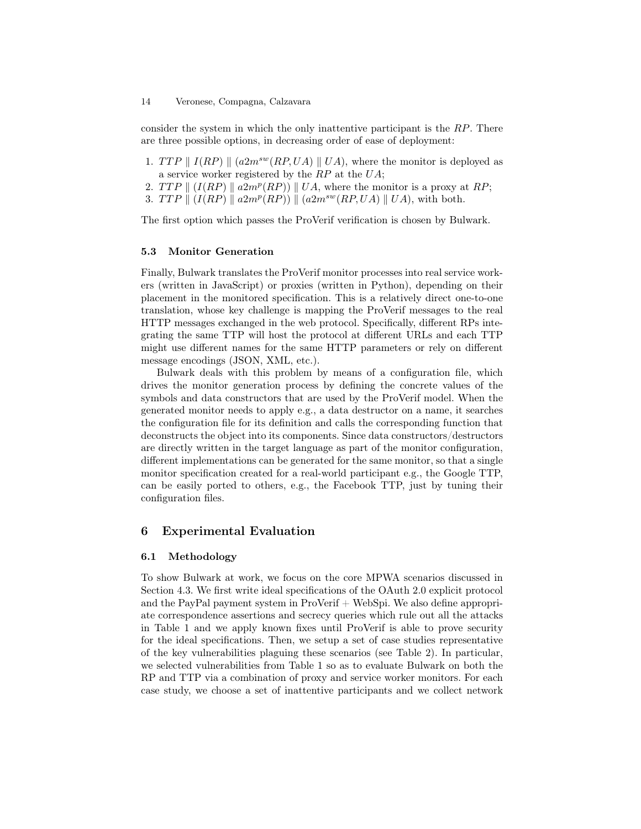consider the system in which the only inattentive participant is the RP. There are three possible options, in decreasing order of ease of deployment:

- 1. TTP  $\parallel I(RP) \parallel (a2m^{sw}(RP, UA) \parallel UA)$ , where the monitor is deployed as a service worker registered by the  $RP$  at the  $UA$ ;
- 2. TTP  $\| (I(RP) \| a2m^p(RP)) \| UA$ , where the monitor is a proxy at RP;
- 3.  $TTP \parallel (I(RP) \parallel a2m^p(RP)) \parallel (a2m^{sw}(RP, UA) \parallel UA)$ , with both.

The first option which passes the ProVerif verification is chosen by Bulwark.

### 5.3 Monitor Generation

Finally, Bulwark translates the ProVerif monitor processes into real service workers (written in JavaScript) or proxies (written in Python), depending on their placement in the monitored specification. This is a relatively direct one-to-one translation, whose key challenge is mapping the ProVerif messages to the real HTTP messages exchanged in the web protocol. Specifically, different RPs integrating the same TTP will host the protocol at different URLs and each TTP might use different names for the same HTTP parameters or rely on different message encodings (JSON, XML, etc.).

Bulwark deals with this problem by means of a configuration file, which drives the monitor generation process by defining the concrete values of the symbols and data constructors that are used by the ProVerif model. When the generated monitor needs to apply e.g., a data destructor on a name, it searches the configuration file for its definition and calls the corresponding function that deconstructs the object into its components. Since data constructors/destructors are directly written in the target language as part of the monitor configuration, different implementations can be generated for the same monitor, so that a single monitor specification created for a real-world participant e.g., the Google TTP, can be easily ported to others, e.g., the Facebook TTP, just by tuning their configuration files.

# <span id="page-13-0"></span>6 Experimental Evaluation

### 6.1 Methodology

To show Bulwark at work, we focus on the core MPWA scenarios discussed in Section [4.3.](#page-8-1) We first write ideal specifications of the OAuth 2.0 explicit protocol and the PayPal payment system in  $ProVerif + WebSpi$ . We also define appropriate correspondence assertions and secrecy queries which rule out all the attacks in Table [1](#page-8-0) and we apply known fixes until ProVerif is able to prove security for the ideal specifications. Then, we setup a set of case studies representative of the key vulnerabilities plaguing these scenarios (see Table [2\)](#page-14-0). In particular, we selected vulnerabilities from Table [1](#page-8-0) so as to evaluate Bulwark on both the RP and TTP via a combination of proxy and service worker monitors. For each case study, we choose a set of inattentive participants and we collect network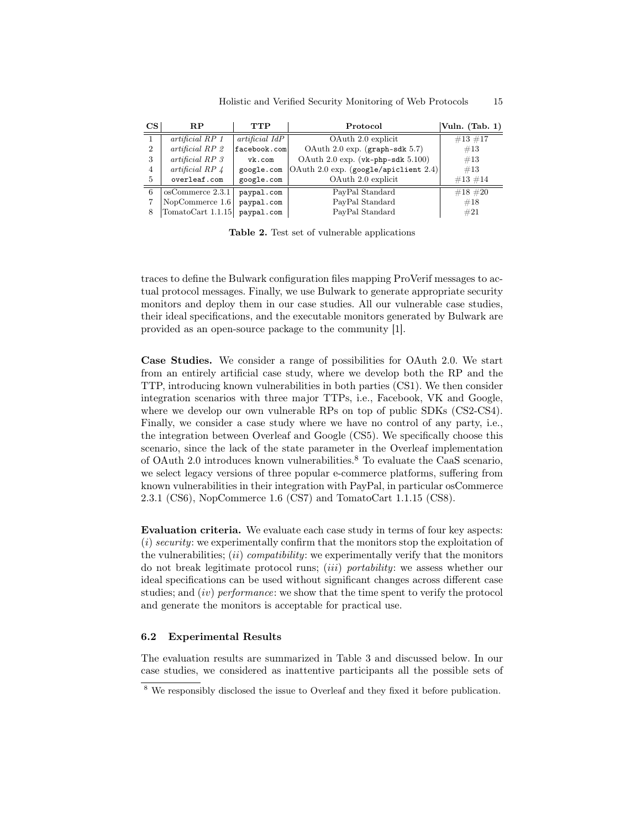| CS             | $\bf RP$                     | TTP            | Protocol                              | Vuln. (Tab. 1) |
|----------------|------------------------------|----------------|---------------------------------------|----------------|
|                | artificial RP1               | artificial IdP | OAuth 2.0 explicit                    | #13#17         |
| $\overline{2}$ | artificial RP 2              | facebook.com   | OAuth 2.0 exp. (graph-sdk 5.7)        | #13            |
| 3              | artificial RP3               | vk.com         | OAuth 2.0 exp. (vk-php-sdk 5.100)     | #13            |
| 4              | artificial RP4               | google.com     | OAuth 2.0 exp. (google/apiclient 2.4) | #13            |
| 5              | overleaf.com                 | google.com     | OAuth 2.0 explicit                    | #13#14         |
| 6              | osCommerce 2.3.1             | paypal.com     | PayPal Standard                       | #18#20         |
| 7              | NopCommerce $1.6$            | paypal.com     | PayPal Standard                       | #18            |
| 8              | TomatoCart 1.1.15 paypal.com |                | PayPal Standard                       | #21            |

Table 2. Test set of vulnerable applications

<span id="page-14-0"></span>traces to define the Bulwark configuration files mapping ProVerif messages to actual protocol messages. Finally, we use Bulwark to generate appropriate security monitors and deploy them in our case studies. All our vulnerable case studies, their ideal specifications, and the executable monitors generated by Bulwark are provided as an open-source package to the community [\[1\]](#page-16-0).

Case Studies. We consider a range of possibilities for OAuth 2.0. We start from an entirely artificial case study, where we develop both the RP and the TTP, introducing known vulnerabilities in both parties (CS1). We then consider integration scenarios with three major TTPs, i.e., Facebook, VK and Google, where we develop our own vulnerable RPs on top of public SDKs (CS2-CS4). Finally, we consider a case study where we have no control of any party, i.e., the integration between Overleaf and Google (CS5). We specifically choose this scenario, since the lack of the state parameter in the Overleaf implementation of OAuth 2.0 introduces known vulnerabilities.[8](#page-14-1) To evaluate the CaaS scenario, we select legacy versions of three popular e-commerce platforms, suffering from known vulnerabilities in their integration with PayPal, in particular osCommerce 2.3.1 (CS6), NopCommerce 1.6 (CS7) and TomatoCart 1.1.15 (CS8).

Evaluation criteria. We evaluate each case study in terms of four key aspects:  $(i)$  security: we experimentally confirm that the monitors stop the exploitation of the vulnerabilities; (ii) compatibility: we experimentally verify that the monitors do not break legitimate protocol runs; (iii) portability: we assess whether our ideal specifications can be used without significant changes across different case studies; and  $(iv)$  performance: we show that the time spent to verify the protocol and generate the monitors is acceptable for practical use.

# 6.2 Experimental Results

The evaluation results are summarized in Table [3](#page-15-0) and discussed below. In our case studies, we considered as inattentive participants all the possible sets of

<span id="page-14-1"></span><sup>8</sup> We responsibly disclosed the issue to Overleaf and they fixed it before publication.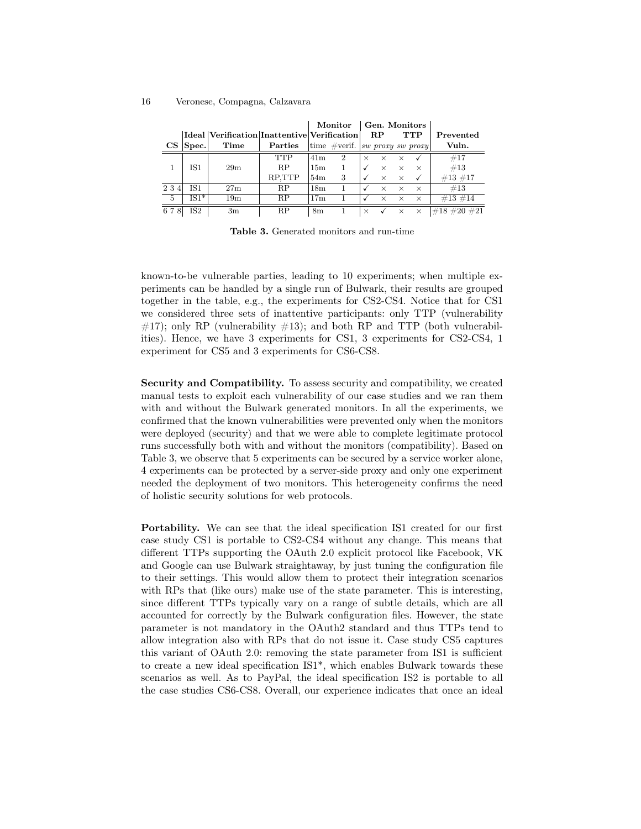|                |        |                                             |            |                 | Monitor                           | Gen. Monitors |          |           |          |                  |
|----------------|--------|---------------------------------------------|------------|-----------------|-----------------------------------|---------------|----------|-----------|----------|------------------|
|                |        | Ideal Verification Inattentive Verification |            |                 | R.P<br>TTP                        |               |          | Prevented |          |                  |
| $_{\rm CS}$    | Spec.  | Time                                        | Parties    |                 | time $\#verif.$ sw proxy sw proxy |               |          |           |          | Vuln.            |
|                |        |                                             | <b>TTP</b> | 41m             | $\mathfrak{D}$                    | $\times$      | $\times$ | $\times$  |          | #17              |
|                | IS1    | 29m                                         | RP         | 15m             |                                   |               | $\times$ |           |          | #13              |
|                |        |                                             | RP.TTP     | 54m             | 3                                 |               | $\times$ | $\times$  |          | #13#17           |
| 234            | IS1    | 27m                                         | RP         | 18 <sub>m</sub> |                                   |               | $\times$ | $\times$  | $\times$ | #13              |
| $\overline{5}$ | $IS1*$ | 19m                                         | RP         | 17 <sub>m</sub> |                                   |               | $\times$ | $\times$  | $\times$ | #13#14           |
| 67<br>8        | IS2    | 3m                                          | RP         | 8 <sub>m</sub>  |                                   | $\times$      |          | $\times$  | $\times$ | $\#18 \#20 \#21$ |

Table 3. Generated monitors and run-time

<span id="page-15-0"></span>known-to-be vulnerable parties, leading to 10 experiments; when multiple experiments can be handled by a single run of Bulwark, their results are grouped together in the table, e.g., the experiments for CS2-CS4. Notice that for CS1 we considered three sets of inattentive participants: only TTP (vulnerability  $#17$ ; only RP (vulnerability  $#13$ ); and both RP and TTP (both vulnerabilities). Hence, we have 3 experiments for CS1, 3 experiments for CS2-CS4, 1 experiment for CS5 and 3 experiments for CS6-CS8.

Security and Compatibility. To assess security and compatibility, we created manual tests to exploit each vulnerability of our case studies and we ran them with and without the Bulwark generated monitors. In all the experiments, we confirmed that the known vulnerabilities were prevented only when the monitors were deployed (security) and that we were able to complete legitimate protocol runs successfully both with and without the monitors (compatibility). Based on Table [3,](#page-15-0) we observe that 5 experiments can be secured by a service worker alone, 4 experiments can be protected by a server-side proxy and only one experiment needed the deployment of two monitors. This heterogeneity confirms the need of holistic security solutions for web protocols.

Portability. We can see that the ideal specification IS1 created for our first case study CS1 is portable to CS2-CS4 without any change. This means that different TTPs supporting the OAuth 2.0 explicit protocol like Facebook, VK and Google can use Bulwark straightaway, by just tuning the configuration file to their settings. This would allow them to protect their integration scenarios with RPs that (like ours) make use of the state parameter. This is interesting, since different TTPs typically vary on a range of subtle details, which are all accounted for correctly by the Bulwark configuration files. However, the state parameter is not mandatory in the OAuth2 standard and thus TTPs tend to allow integration also with RPs that do not issue it. Case study CS5 captures this variant of OAuth 2.0: removing the state parameter from IS1 is sufficient to create a new ideal specification IS1\*, which enables Bulwark towards these scenarios as well. As to PayPal, the ideal specification IS2 is portable to all the case studies CS6-CS8. Overall, our experience indicates that once an ideal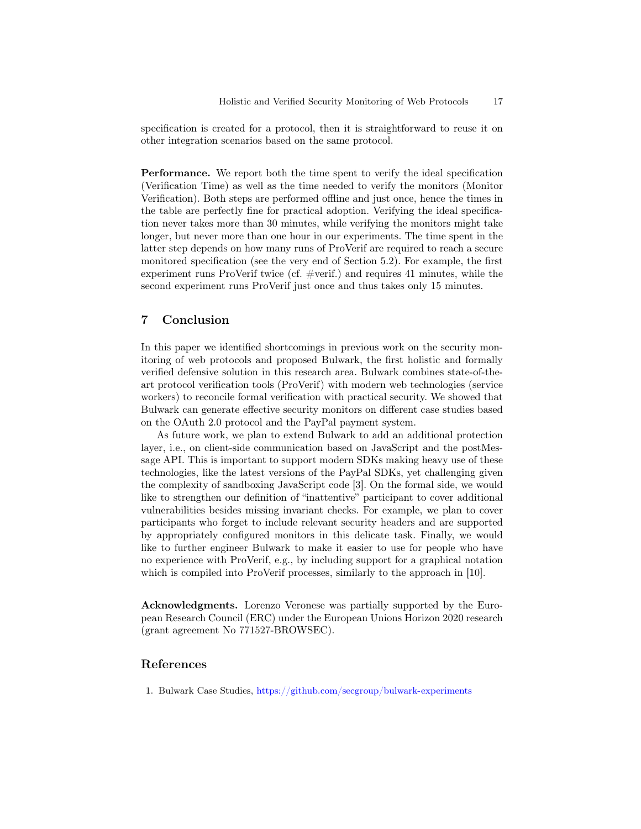specification is created for a protocol, then it is straightforward to reuse it on other integration scenarios based on the same protocol.

Performance. We report both the time spent to verify the ideal specification (Verification Time) as well as the time needed to verify the monitors (Monitor Verification). Both steps are performed offline and just once, hence the times in the table are perfectly fine for practical adoption. Verifying the ideal specification never takes more than 30 minutes, while verifying the monitors might take longer, but never more than one hour in our experiments. The time spent in the latter step depends on how many runs of ProVerif are required to reach a secure monitored specification (see the very end of Section [5.2\)](#page-11-0). For example, the first experiment runs ProVerif twice (cf. #verif.) and requires 41 minutes, while the second experiment runs ProVerif just once and thus takes only 15 minutes.

# 7 Conclusion

In this paper we identified shortcomings in previous work on the security monitoring of web protocols and proposed Bulwark, the first holistic and formally verified defensive solution in this research area. Bulwark combines state-of-theart protocol verification tools (ProVerif) with modern web technologies (service workers) to reconcile formal verification with practical security. We showed that Bulwark can generate effective security monitors on different case studies based on the OAuth 2.0 protocol and the PayPal payment system.

As future work, we plan to extend Bulwark to add an additional protection layer, i.e., on client-side communication based on JavaScript and the postMessage API. This is important to support modern SDKs making heavy use of these technologies, like the latest versions of the PayPal SDKs, yet challenging given the complexity of sandboxing JavaScript code [\[3\]](#page-17-22). On the formal side, we would like to strengthen our definition of "inattentive" participant to cover additional vulnerabilities besides missing invariant checks. For example, we plan to cover participants who forget to include relevant security headers and are supported by appropriately configured monitors in this delicate task. Finally, we would like to further engineer Bulwark to make it easier to use for people who have no experience with ProVerif, e.g., by including support for a graphical notation which is compiled into ProVerif processes, similarly to the approach in [\[10\]](#page-17-23).

Acknowledgments. Lorenzo Veronese was partially supported by the European Research Council (ERC) under the European Unions Horizon 2020 research (grant agreement No 771527-BROWSEC).

# References

<span id="page-16-0"></span>1. Bulwark Case Studies, <https://github.com/secgroup/bulwark-experiments>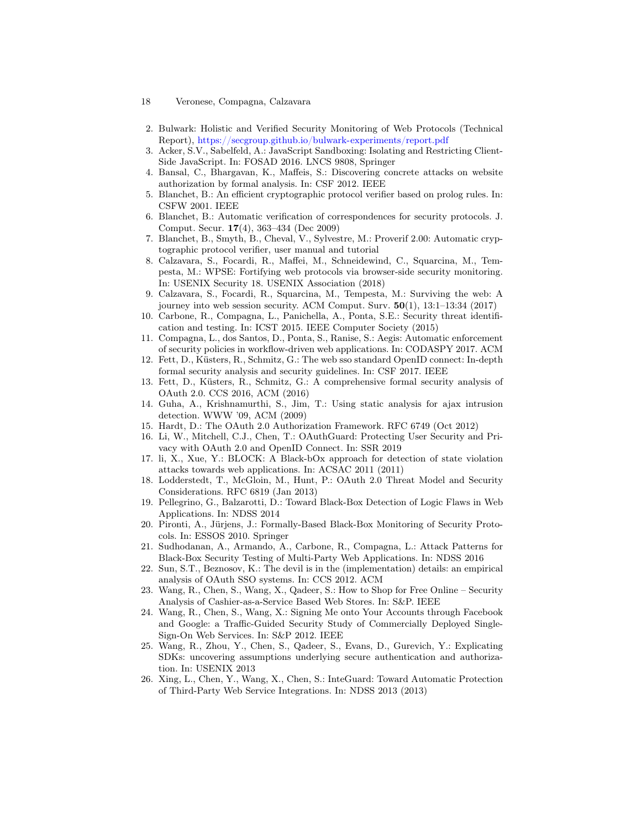- 18 Veronese, Compagna, Calzavara
- <span id="page-17-18"></span>2. Bulwark: Holistic and Verified Security Monitoring of Web Protocols (Technical Report), <https://secgroup.github.io/bulwark-experiments/report.pdf>
- <span id="page-17-22"></span>3. Acker, S.V., Sabelfeld, A.: JavaScript Sandboxing: Isolating and Restricting Client-Side JavaScript. In: FOSAD 2016. LNCS 9808, Springer
- <span id="page-17-4"></span>4. Bansal, C., Bhargavan, K., Maffeis, S.: Discovering concrete attacks on website authorization by formal analysis. In: CSF 2012. IEEE
- <span id="page-17-19"></span>5. Blanchet, B.: An efficient cryptographic protocol verifier based on prolog rules. In: CSFW 2001. IEEE
- <span id="page-17-20"></span>6. Blanchet, B.: Automatic verification of correspondences for security protocols. J. Comput. Secur. 17(4), 363–434 (Dec 2009)
- <span id="page-17-24"></span>7. Blanchet, B., Smyth, B., Cheval, V., Sylvestre, M.: Proverif 2.00: Automatic cryptographic protocol verifier, user manual and tutorial
- <span id="page-17-7"></span>8. Calzavara, S., Focardi, R., Maffei, M., Schneidewind, C., Squarcina, M., Tempesta, M.: WPSE: Fortifying web protocols via browser-side security monitoring. In: USENIX Security 18. USENIX Association (2018)
- <span id="page-17-14"></span>9. Calzavara, S., Focardi, R., Squarcina, M., Tempesta, M.: Surviving the web: A journey into web session security. ACM Comput. Surv. 50(1), 13:1–13:34 (2017)
- <span id="page-17-23"></span>10. Carbone, R., Compagna, L., Panichella, A., Ponta, S.E.: Security threat identification and testing. In: ICST 2015. IEEE Computer Society (2015)
- <span id="page-17-10"></span>11. Compagna, L., dos Santos, D., Ponta, S., Ranise, S.: Aegis: Automatic enforcement of security policies in workflow-driven web applications. In: CODASPY 2017. ACM
- <span id="page-17-15"></span>12. Fett, D., Küsters, R., Schmitz, G.: The web sso standard OpenID connect: In-depth formal security analysis and security guidelines. In: CSF 2017. IEEE
- <span id="page-17-3"></span>13. Fett, D., Küsters, R., Schmitz, G.: A comprehensive formal security analysis of OAuth 2.0. CCS 2016, ACM (2016)
- <span id="page-17-13"></span>14. Guha, A., Krishnamurthi, S., Jim, T.: Using static analysis for ajax intrusion detection. WWW '09, ACM (2009)
- <span id="page-17-12"></span>15. Hardt, D.: The OAuth 2.0 Authorization Framework. RFC 6749 (Oct 2012)
- <span id="page-17-8"></span>16. Li, W., Mitchell, C.J., Chen, T.: OAuthGuard: Protecting User Security and Privacy with OAuth 2.0 and OpenID Connect. In: SSR 2019
- <span id="page-17-11"></span>17. li, X., Xue, Y.: BLOCK: A Black-bOx approach for detection of state violation attacks towards web applications. In: ACSAC 2011 (2011)
- <span id="page-17-16"></span>18. Lodderstedt, T., McGloin, M., Hunt, P.: OAuth 2.0 Threat Model and Security Considerations. RFC 6819 (Jan 2013)
- <span id="page-17-5"></span>19. Pellegrino, G., Balzarotti, D.: Toward Black-Box Detection of Logic Flaws in Web Applications. In: NDSS 2014
- <span id="page-17-21"></span>20. Pironti, A., Jürjens, J.: Formally-Based Black-Box Monitoring of Security Protocols. In: ESSOS 2010. Springer
- <span id="page-17-6"></span>21. Sudhodanan, A., Armando, A., Carbone, R., Compagna, L.: Attack Patterns for Black-Box Security Testing of Multi-Party Web Applications. In: NDSS 2016
- <span id="page-17-2"></span>22. Sun, S.T., Beznosov, K.: The devil is in the (implementation) details: an empirical analysis of OAuth SSO systems. In: CCS 2012. ACM
- <span id="page-17-1"></span>23. Wang, R., Chen, S., Wang, X., Qadeer, S.: How to Shop for Free Online – Security Analysis of Cashier-as-a-Service Based Web Stores. In: S&P. IEEE
- <span id="page-17-0"></span>24. Wang, R., Chen, S., Wang, X.: Signing Me onto Your Accounts through Facebook and Google: a Traffic-Guided Security Study of Commercially Deployed Single-Sign-On Web Services. In: S&P 2012. IEEE
- <span id="page-17-17"></span>25. Wang, R., Zhou, Y., Chen, S., Qadeer, S., Evans, D., Gurevich, Y.: Explicating SDKs: uncovering assumptions underlying secure authentication and authorization. In: USENIX 2013
- <span id="page-17-9"></span>26. Xing, L., Chen, Y., Wang, X., Chen, S.: InteGuard: Toward Automatic Protection of Third-Party Web Service Integrations. In: NDSS 2013 (2013)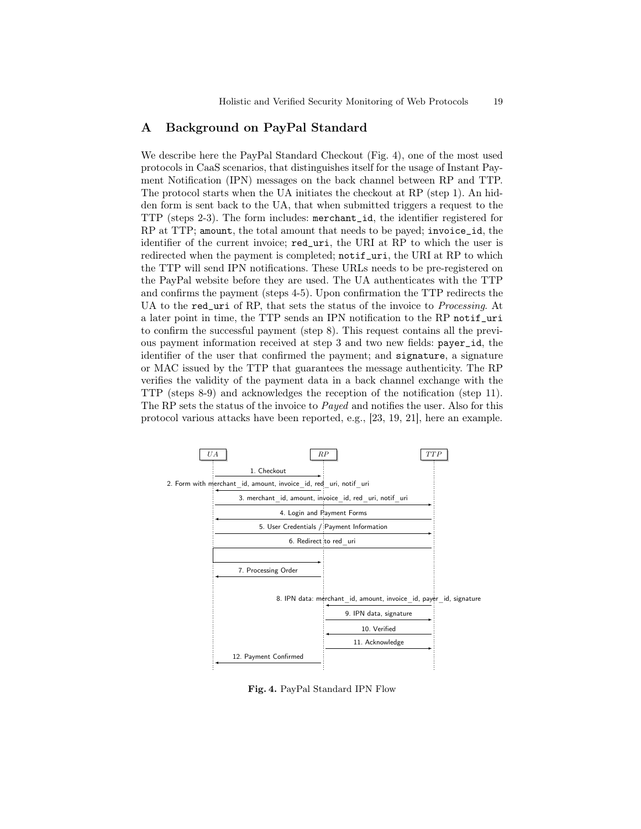# A Background on PayPal Standard

We describe here the PayPal Standard Checkout (Fig. [4\)](#page-18-0), one of the most used protocols in CaaS scenarios, that distinguishes itself for the usage of Instant Payment Notification (IPN) messages on the back channel between RP and TTP. The protocol starts when the UA initiates the checkout at RP (step 1). An hidden form is sent back to the UA, that when submitted triggers a request to the TTP (steps 2-3). The form includes: merchant\_id, the identifier registered for RP at TTP; amount, the total amount that needs to be payed; invoice\_id, the identifier of the current invoice; red\_uri, the URI at RP to which the user is redirected when the payment is completed; notif\_uri, the URI at RP to which the TTP will send IPN notifications. These URLs needs to be pre-registered on the PayPal website before they are used. The UA authenticates with the TTP and confirms the payment (steps 4-5). Upon confirmation the TTP redirects the UA to the red\_uri of RP, that sets the status of the invoice to Processing. At a later point in time, the TTP sends an IPN notification to the RP notif\_uri to confirm the successful payment (step 8). This request contains all the previous payment information received at step 3 and two new fields: payer\_id, the identifier of the user that confirmed the payment; and signature, a signature or MAC issued by the TTP that guarantees the message authenticity. The RP verifies the validity of the payment data in a back channel exchange with the TTP (steps 8-9) and acknowledges the reception of the notification (step 11). The RP sets the status of the invoice to *Payed* and notifies the user. Also for this protocol various attacks have been reported, e.g., [\[23,](#page-17-1) [19,](#page-17-5) [21\]](#page-17-6), here an example.



<span id="page-18-0"></span>Fig. 4. PayPal Standard IPN Flow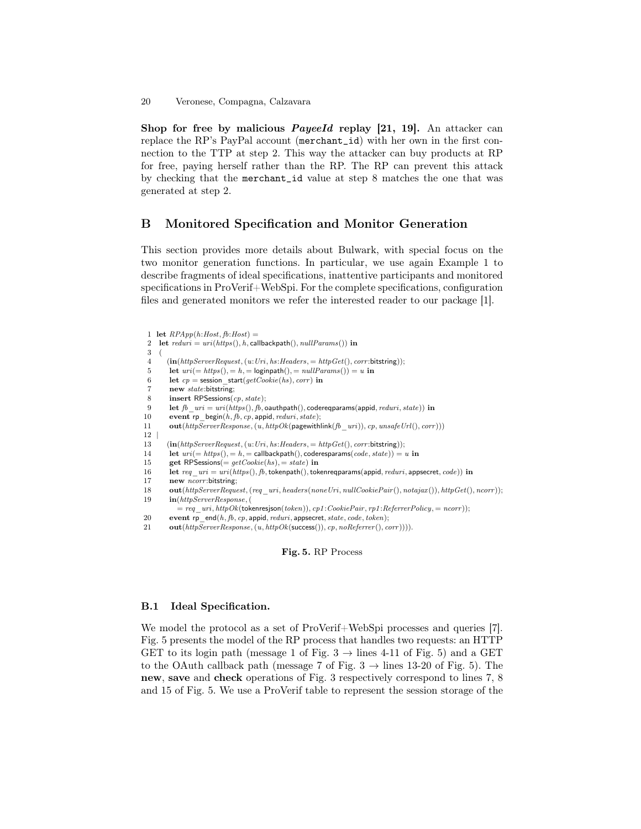Shop for free by malicious *PayeeId* replay [\[21,](#page-17-6) [19\]](#page-17-5). An attacker can replace the RP's PayPal account (merchant\_id) with her own in the first connection to the TTP at step 2. This way the attacker can buy products at RP for free, paying herself rather than the RP. The RP can prevent this attack by checking that the merchant\_id value at step 8 matches the one that was generated at step 2.

# B Monitored Specification and Monitor Generation

This section provides more details about Bulwark, with special focus on the two monitor generation functions. In particular, we use again Example [1](#page-12-1) to describe fragments of ideal specifications, inattentive participants and monitored specifications in ProVerif+WebSpi. For the complete specifications, configuration files and generated monitors we refer the interested reader to our package [\[1\]](#page-16-0).

```
1 let RPApp(h:Host, fb:Host) =2 let redur = uri(https(), h, callbackpath(), nullParams() in
3 (
 4 (in(httpServerRequest,(u:Uri, hs:Headers, = httpGet(), corr :bitstring));
 5 let uri(= <i>https</i>(), = h, = <i>loginpath</i>(), = <i>nullParameters</i>()) = u in6 let cp = session_start(getCookie(hs), corr) in
 7 new state:bitstring;
 8 insert RPSessions(cp, state);
 9 let fb\_uri = uri(https(), fb, oauthpath(), codereqparams(appid, reduri, state)) in
10 event rp begin(h, fb, cp, \text{appid}, \text{reduri}, \text{state});11 out(http\overline{ServerResponse}, (u, httpOk(pagewithlink(fb<sup>uri</sup>)), cp, unsafeUrl(), corr)))
12 |
13 (in(httpServerRequest,(u:Uri, hs:Headers, = httpGet(), corr:bitstring));<br>14 let uri(=https(),=h,=callbackpath(), coderesparams(code, state)) = \alphalet uri(=https(),=h,= callbackpath(), coderesparams(code,state)) = u in
15 get RPSessions(= getCookie(hs), = state) in
16 let req\_uri = uri(https(), fb, tokenpath(), tokenreqparams(appid, reduri, appsecret, code) in
17 new ncorr : bitstring;
18 out(httpServerRequest,(req_uri, headers(noneUri, nullCookiePair (), notajax ()), httpGet(), ncorr ));
19 in(httpServerResponse,(
           = \text{reg} \quad \text{uri}, \text{http0k}(tokenresjson(token)), cp1 : CookiePair, rp1 : ReferrerPolicy, = \text{ncorr}));
20 event \mathsf{rp\_end}(h, fb, cp, \mathsf{appid}, \mathit{redur}, \mathsf{appsecret}, \mathit{state}, \mathit{code}, \mathit{token});21 out(httpServerResponse, (u, httpOk(success))), cp, noReferer(), corr))).
```
#### Fig. 5. RP Process

### <span id="page-19-0"></span>B.1 Ideal Specification.

We model the protocol as a set of ProVerif+WebSpi processes and queries [\[7\]](#page-17-24). Fig. [5](#page-19-0) presents the model of the RP process that handles two requests: an HTTP GET to its login path (message 1 of Fig. [3](#page-12-0)  $\rightarrow$  lines 4-11 of Fig. [5\)](#page-19-0) and a GET to the OAuth callback path (message 7 of Fig.  $3 \rightarrow$  lines 13-20 of Fig. [5\)](#page-19-0). The new, save and check operations of Fig. [3](#page-12-0) respectively correspond to lines 7, 8 and 15 of Fig. [5.](#page-19-0) We use a ProVerif table to represent the session storage of the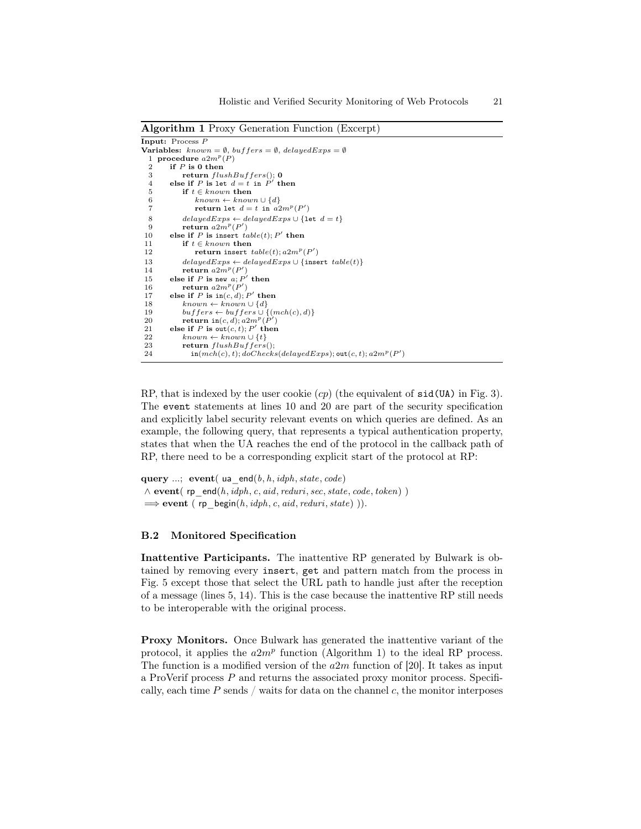Algorithm 1 Proxy Generation Function (Excerpt)

<span id="page-20-0"></span>

|                         | <b>Input:</b> Process $P$                                                                    |
|-------------------------|----------------------------------------------------------------------------------------------|
|                         | <b>Variables:</b> $known = \emptyset$ , $buffers = \emptyset$ , $delayedExpress = \emptyset$ |
|                         | 1 procedure $a2m^p(P)$                                                                       |
| $\boldsymbol{2}$        | if $P$ is 0 then                                                                             |
| 3                       | return $flushBuffers()$ ; 0                                                                  |
| $\overline{\mathbf{4}}$ | else if P is let $d = t$ in P' then                                                          |
| 5                       | if $t \in known$ then                                                                        |
| $\,6$                   | $known \leftarrow known \cup \{d\}$                                                          |
| 7                       | return let $d = t$ in $a2m^p(P')$                                                            |
| 8                       | $delayedExps \leftarrow delayedExps \cup \{let d = t\}$                                      |
| 9                       | return $a2m^p(P)$                                                                            |
| 10                      | else if P is insert $table(t)$ ; P' then                                                     |
| 11                      | if $t \in known$ then                                                                        |
| 12                      | return insert $table(t); a2m^p(P')$                                                          |
| 13                      | $delayedExps \leftarrow delayedExps \cup \{insert \ table(t)\}$                              |
| 14                      | return $a2m^p(P)$                                                                            |
| 15                      | else if P is new $a$ ; P' then                                                               |
| 16                      | return $a2m^p(P)$                                                                            |
| 17                      | else if P is $in(c, d)$ ; P' then                                                            |
| 18                      | $known \leftarrow known \cup \{d\}$                                                          |
| 19                      | $buffers \leftarrow buffers \cup \{(mch(c), d)\}$                                            |
| 20                      | return in(c, d); $a2m^p(P')$                                                                 |
| 21                      | else if P is out $(c, t)$ ; P' then                                                          |
| 22                      | $known \leftarrow known \cup \{t\}$                                                          |
| 23                      | return $flushBuffers()$ ;                                                                    |
| 24                      | $\inf(mch(c), t); doChecks(delayed Express); \text{out}(c, t); a2m^p(P')$                    |

RP, that is indexed by the user cookie  $(cp)$  (the equivalent of  $sid(UA)$  in Fig. [3\)](#page-12-0). The event statements at lines 10 and 20 are part of the security specification and explicitly label security relevant events on which queries are defined. As an example, the following query, that represents a typical authentication property, states that when the UA reaches the end of the protocol in the callback path of RP, there need to be a corresponding explicit start of the protocol at RP:

query ...; event( $u$ a end $(b, h, idph, state, code)$  $\wedge$  event(rp\_end(h, idph, c, aid, reduri, sec, state, code, token))  $\implies$  event (rp begin(h, idph, c, aid, reduri, state)).

# B.2 Monitored Specification

Inattentive Participants. The inattentive RP generated by Bulwark is obtained by removing every insert, get and pattern match from the process in Fig. [5](#page-19-0) except those that select the URL path to handle just after the reception of a message (lines 5, 14). This is the case because the inattentive RP still needs to be interoperable with the original process.

Proxy Monitors. Once Bulwark has generated the inattentive variant of the protocol, it applies the  $a2m^p$  function (Algorithm [1\)](#page-20-0) to the ideal RP process. The function is a modified version of the  $a2m$  function of [\[20\]](#page-17-21). It takes as input a ProVerif process P and returns the associated proxy monitor process. Specifically, each time  $P$  sends  $/$  waits for data on the channel  $c$ , the monitor interposes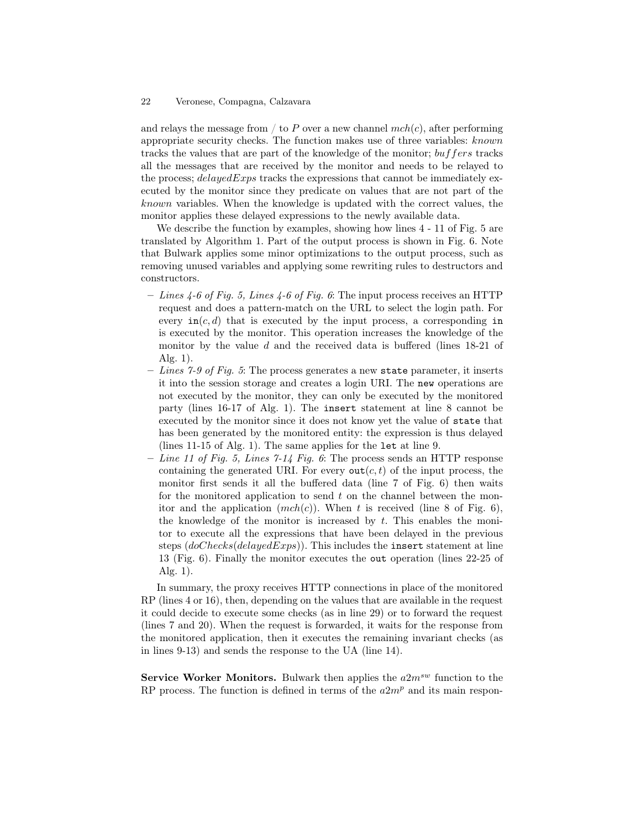and relays the message from / to P over a new channel  $mch(c)$ , after performing appropriate security checks. The function makes use of three variables: known tracks the values that are part of the knowledge of the monitor; buffers tracks all the messages that are received by the monitor and needs to be relayed to the process;  $delayedExps$  tracks the expressions that cannot be immediately executed by the monitor since they predicate on values that are not part of the known variables. When the knowledge is updated with the correct values, the monitor applies these delayed expressions to the newly available data.

We describe the function by examples, showing how lines  $4 - 11$  of Fig. [5](#page-19-0) are translated by Algorithm [1.](#page-20-0) Part of the output process is shown in Fig. [6.](#page-22-0) Note that Bulwark applies some minor optimizations to the output process, such as removing unused variables and applying some rewriting rules to destructors and constructors.

- $-$  Lines 4-6 of Fig. [5,](#page-19-0) Lines 4-6 of Fig. [6](#page-22-0): The input process receives an HTTP request and does a pattern-match on the URL to select the login path. For every  $in(c, d)$  that is executed by the input process, a corresponding in is executed by the monitor. This operation increases the knowledge of the monitor by the value  $d$  and the received data is buffered (lines 18-21 of Alg. [1\)](#page-20-0).
- $-$  Lines 7-9 of Fig. [5](#page-19-0): The process generates a new state parameter, it inserts it into the session storage and creates a login URI. The new operations are not executed by the monitor, they can only be executed by the monitored party (lines 16-17 of Alg. [1\)](#page-20-0). The insert statement at line 8 cannot be executed by the monitor since it does not know yet the value of state that has been generated by the monitored entity: the expression is thus delayed (lines 11-15 of Alg. [1\)](#page-20-0). The same applies for the let at line 9.
- Line 11 of Fig. [5,](#page-19-0) Lines  $7-14$  Fig. [6](#page-22-0): The process sends an HTTP response containing the generated URI. For every  $\text{out}(c, t)$  of the input process, the monitor first sends it all the buffered data (line 7 of Fig. [6\)](#page-22-0) then waits for the monitored application to send  $t$  on the channel between the monitor and the application  $(mch(c))$ . When t is received (line 8 of Fig. [6\)](#page-22-0), the knowledge of the monitor is increased by  $t$ . This enables the monitor to execute all the expressions that have been delayed in the previous steps  $(doChecks(delayedExps))$ . This includes the insert statement at line 13 (Fig. [6\)](#page-22-0). Finally the monitor executes the out operation (lines 22-25 of Alg. [1\)](#page-20-0).

In summary, the proxy receives HTTP connections in place of the monitored RP (lines 4 or 16), then, depending on the values that are available in the request it could decide to execute some checks (as in line 29) or to forward the request (lines 7 and 20). When the request is forwarded, it waits for the response from the monitored application, then it executes the remaining invariant checks (as in lines 9-13) and sends the response to the UA (line 14).

Service Worker Monitors. Bulwark then applies the  $a2m^{sw}$  function to the RP process. The function is defined in terms of the  $a2m^p$  and its main respon-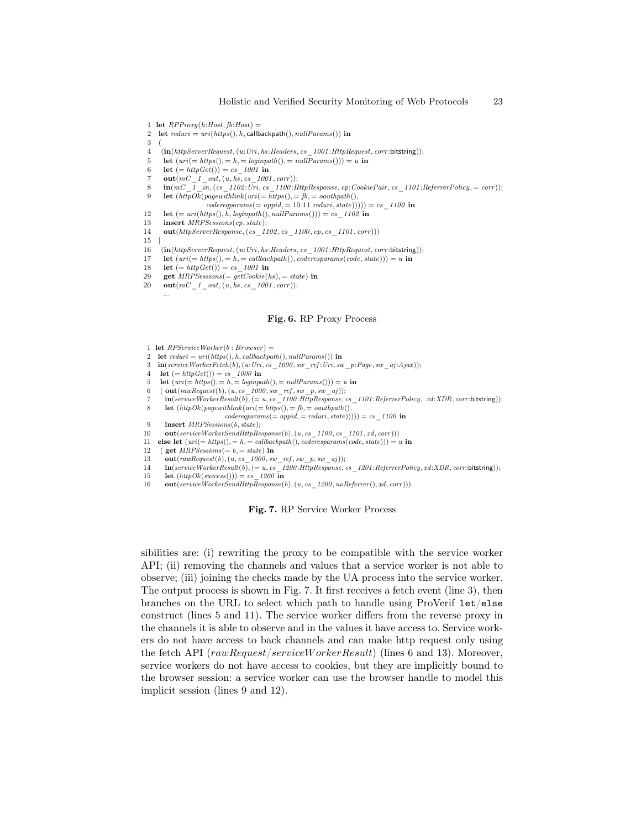```
1 let RPProw(h:Host, fb:Host) =
```

```
2 let redur = uri(https(), h, \text{callbackpath}(), nullParams()) in
```
- 3 (
- 4 (in(httpServerRequest,(u:Uri, hs:Headers, cs\_1001:HttpRequest, corr:bitstring));
- 5 let  $(uri(=https(),=h,=loginputh(),=null\overline{P}arams()) = u$  in
- 6 let  $(= httpGet()) = cs_1001$  in
- 7 out $(mC_1_1_1_2, k, cs_1_1001, corr));$
- $8 \quad \textbf{in} (mC_11_in, (cs_1102 : Uri, cs_1100 : HttpResponse, cp:CookiePair, cs_1101 : Referrer Policy, = corr));$ 9 let  $(ht\bar{p}O\bar{k}(page withlink(uri(=\bar{h}tps(),=\bar{fb},=\bar{a}authpath(),$
- $codereqparams(= appid = 10 11 reduri, state)))) = cs 1100$  in
- 12 let  $(= uri(https(), h, loginput(), nullParams()) = cs\_1102$  in<br>13 insert  $MBPS_{essions}(cr, state)$ .
- 13 insert *MRPSessions*(*cp*, *state*);<br>14 **out**(*httpServerResponse*,(*cs* 11
- $out(httpServerResponse, (cs_1102, cs_1100, cp, cs_1101, corr)))$
- 15 |
- 16 (in(httpServerRequest,(u:Uri, hs:Headers, cs\_1001 :HttpRequest, corr :bitstring));
- 17 let  $(uri(=https(),=h,= callbackpath(),coderesparams(code, state))) = u$  in
- 18 let  $(= httpGet()) = cs_1001$  in<br>29 get MRPSessions(=  $getCookie()$
- get  $MRPS$ essions(= getCookie(hs),= state) in
- <span id="page-22-0"></span>20 **out** $(mC_1_1_1_2, (u, hs, cs_1_1_0_1_1), corr$ ); ...

#### Fig. 6. RP Proxy Process

1 let  $RPS$ erviceWorker(b : Browser) =

- 2 let  $redur = uri(htips(), h, callbackpath(), nullParams())$  in
- 3  $\textbf{in}(serviceWorkerFetch(b), (u: Uri, cs 1000, sw~ref : Uri, sw~p:Page, sw~aj:Ajax));$
- 4 let  $(= httpGet()) = cs_1000$  in
- 5 let  $(uri(=https(),=h,\overline{=}~loginput(),=nullParameters()) = u$  in
- $6 \quad (\textbf{ out} (rawRequest(b), (u, cs\_1000, sw\_ref, sw\_p, sw\_aj));$
- $\textbf{in}(serviceWorkerResult(b), (= u, cs\_1100 : \textit{HttpResponse}, cs\_1101 : \textit{ReferencePolicy}, \; \textit{xd:XDR}, corr \text{:bitsstring}));$
- 8 let  $(httpOk(page with link(wri(= https(),=fb,= oauthpath(),$
- $codereqparams(=appid,=reduri, state))))$ ) = cs\_1100 in
- 9 insert  $MRP\mathcal{S}e$ ssions(b, state);
- 10  $out(s$ erviceWorkerSendHttpResponse(b),(u, cs\_1100, cs\_1101, xd, corr)))
- 11 else let  $(uri(=https(),=h,=callbackpath(),coderesparams(code, state))) = u$  in
- 12 ( get  $MRP\overline{S}e$ ssions(= b, = state) in
- 13 **out**( $\text{rawRequest}(b), (u, cs \_1000, sw \_ref, sw \_p, sw \_aj));$
- 14  $\text{in}(\text{serviceWorkerResult}(b), (= u, cs-1200 : \text{HttpResponse}, cs-1201 : \text{ReferencePolicy}, xd: XDR, corr : \text{bitstring}))$ ;
- 15 let  $(httpOk(success()) = cs \space 1200$  in
- 16 **out**(serviceWorkerSendHttpResponse(b),(u, cs\_1200, noReferrer(), xd, corr))).

<span id="page-22-1"></span>Fig. 7. RP Service Worker Process

sibilities are: (i) rewriting the proxy to be compatible with the service worker API; (ii) removing the channels and values that a service worker is not able to observe; (iii) joining the checks made by the UA process into the service worker. The output process is shown in Fig. [7.](#page-22-1) It first receives a fetch event (line 3), then branches on the URL to select which path to handle using ProVerif let/else construct (lines 5 and 11). The service worker differs from the reverse proxy in the channels it is able to observe and in the values it have access to. Service workers do not have access to back channels and can make http request only using the fetch API (rawRequest/serviceW orkerResult) (lines 6 and 13). Moreover, service workers do not have access to cookies, but they are implicitly bound to the browser session: a service worker can use the browser handle to model this implicit session (lines 9 and 12).